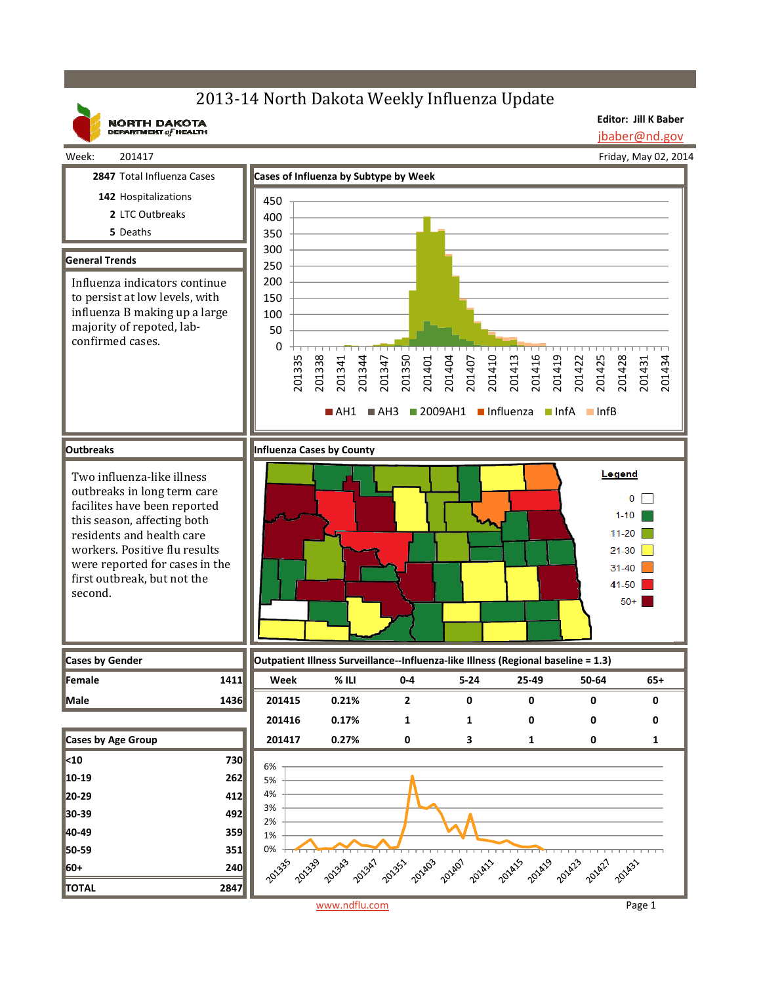## 2013-14 North Dakota Weekly Influenza Update

**NORTH DAKOTA**<br>DEPARTMENT of HEALTH

**Editor: Jill K Baber** jbaber@nd.gov